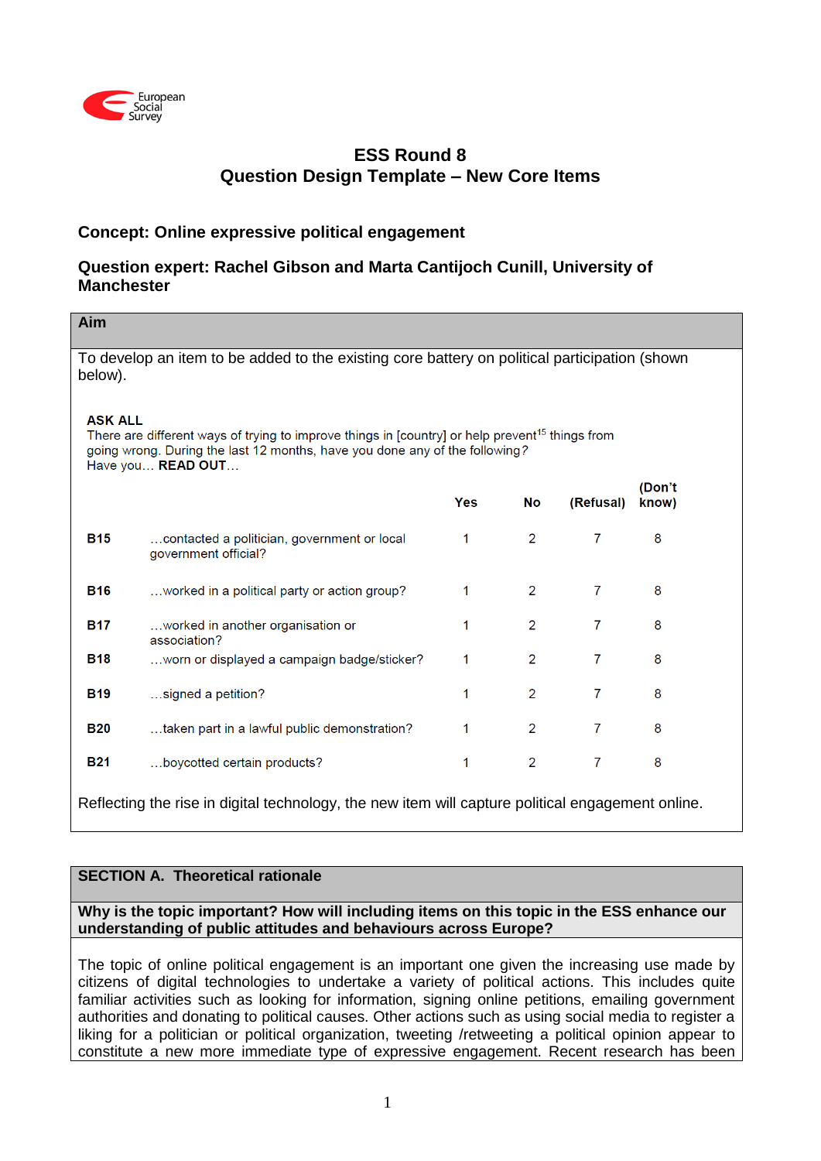

# **ESS Round 8 Question Design Template – New Core Items**

## **Concept: Online expressive political engagement**

## **Question expert: Rachel Gibson and Marta Cantijoch Cunill, University of Manchester**

| Aim                                                                                                                                                                                                                                      |                                                                     |            |                |                |                 |  |  |
|------------------------------------------------------------------------------------------------------------------------------------------------------------------------------------------------------------------------------------------|---------------------------------------------------------------------|------------|----------------|----------------|-----------------|--|--|
| To develop an item to be added to the existing core battery on political participation (shown<br>below).                                                                                                                                 |                                                                     |            |                |                |                 |  |  |
| <b>ASK ALL</b><br>There are different ways of trying to improve things in [country] or help prevent <sup>15</sup> things from<br>going wrong. During the last 12 months, have you done any of the following?<br>Have you <b>READ OUT</b> |                                                                     |            |                |                |                 |  |  |
|                                                                                                                                                                                                                                          |                                                                     | <b>Yes</b> | <b>No</b>      | (Refusal)      | (Don't<br>know) |  |  |
| <b>B15</b>                                                                                                                                                                                                                               | contacted a politician, government or local<br>government official? | 1          | $\overline{2}$ | 7              | 8               |  |  |
| <b>B16</b>                                                                                                                                                                                                                               | worked in a political party or action group?                        | 1          | $\overline{2}$ | $\overline{7}$ | 8               |  |  |
| <b>B17</b>                                                                                                                                                                                                                               | worked in another organisation or<br>association?                   | 1          | 2              | 7              | 8               |  |  |
| <b>B18</b>                                                                                                                                                                                                                               | worn or displayed a campaign badge/sticker?                         | 1          | $\overline{2}$ | 7              | 8               |  |  |
| <b>B19</b>                                                                                                                                                                                                                               | signed a petition?                                                  | 1          | $\overline{2}$ | 7              | 8               |  |  |
| <b>B20</b>                                                                                                                                                                                                                               | taken part in a lawful public demonstration?                        | 1          | $\overline{2}$ | 7              | 8               |  |  |
| <b>B21</b>                                                                                                                                                                                                                               | boycotted certain products?                                         | 1          | $\overline{2}$ | $\overline{7}$ | 8               |  |  |
| Reflecting the rise in digital technology, the new item will capture political engagement online.                                                                                                                                        |                                                                     |            |                |                |                 |  |  |

## **SECTION A. Theoretical rationale**

## **Why is the topic important? How will including items on this topic in the ESS enhance our understanding of public attitudes and behaviours across Europe?**

The topic of online political engagement is an important one given the increasing use made by citizens of digital technologies to undertake a variety of political actions. This includes quite familiar activities such as looking for information, signing online petitions, emailing government authorities and donating to political causes. Other actions such as using social media to register a liking for a politician or political organization, tweeting /retweeting a political opinion appear to constitute a new more immediate type of expressive engagement. Recent research has been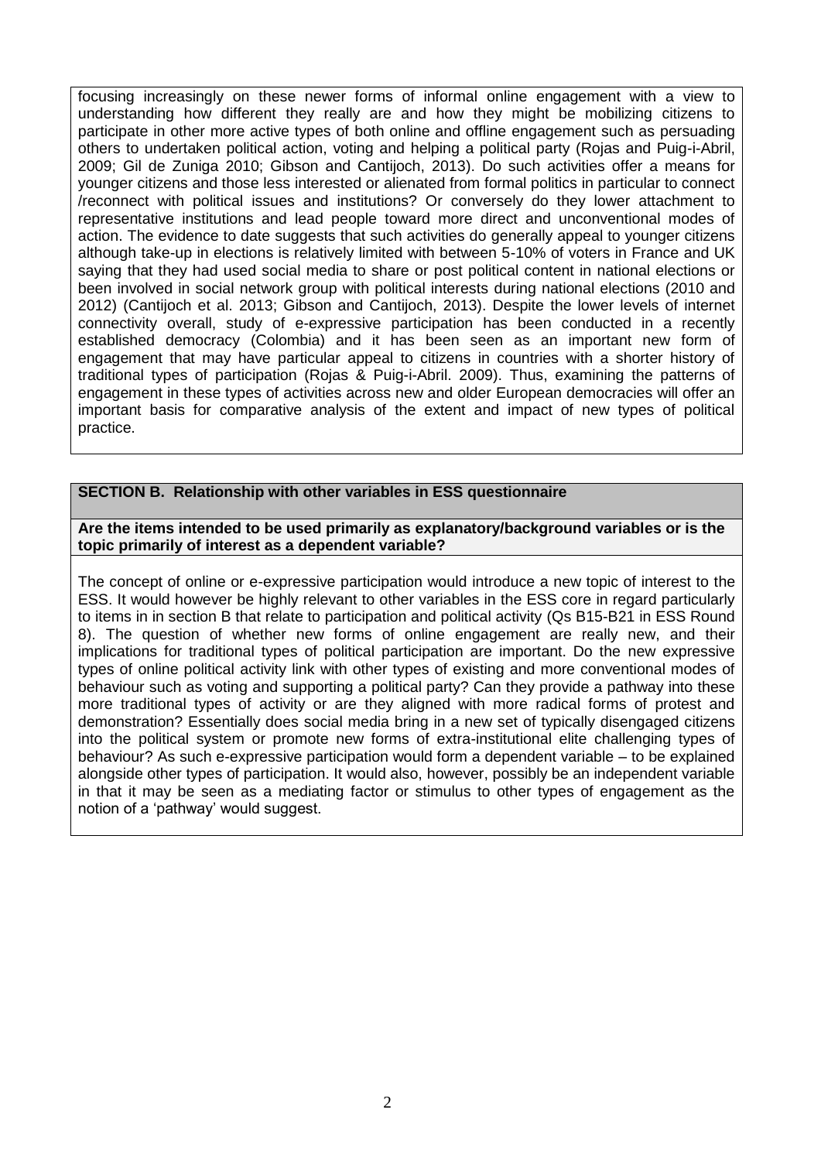focusing increasingly on these newer forms of informal online engagement with a view to understanding how different they really are and how they might be mobilizing citizens to participate in other more active types of both online and offline engagement such as persuading others to undertaken political action, voting and helping a political party (Rojas and Puig-i-Abril, 2009; Gil de Zuniga 2010; Gibson and Cantijoch, 2013). Do such activities offer a means for younger citizens and those less interested or alienated from formal politics in particular to connect /reconnect with political issues and institutions? Or conversely do they lower attachment to representative institutions and lead people toward more direct and unconventional modes of action. The evidence to date suggests that such activities do generally appeal to younger citizens although take-up in elections is relatively limited with between 5-10% of voters in France and UK saying that they had used social media to share or post political content in national elections or been involved in social network group with political interests during national elections (2010 and 2012) (Cantijoch et al. 2013; Gibson and Cantijoch, 2013). Despite the lower levels of internet connectivity overall, study of e-expressive participation has been conducted in a recently established democracy (Colombia) and it has been seen as an important new form of engagement that may have particular appeal to citizens in countries with a shorter history of traditional types of participation (Rojas & Puig-i-Abril. 2009). Thus, examining the patterns of engagement in these types of activities across new and older European democracies will offer an important basis for comparative analysis of the extent and impact of new types of political practice.

## **SECTION B. Relationship with other variables in ESS questionnaire**

### **Are the items intended to be used primarily as explanatory/background variables or is the topic primarily of interest as a dependent variable?**

The concept of online or e-expressive participation would introduce a new topic of interest to the ESS. It would however be highly relevant to other variables in the ESS core in regard particularly to items in in section B that relate to participation and political activity (Qs B15-B21 in ESS Round 8). The question of whether new forms of online engagement are really new, and their implications for traditional types of political participation are important. Do the new expressive types of online political activity link with other types of existing and more conventional modes of behaviour such as voting and supporting a political party? Can they provide a pathway into these more traditional types of activity or are they aligned with more radical forms of protest and demonstration? Essentially does social media bring in a new set of typically disengaged citizens into the political system or promote new forms of extra-institutional elite challenging types of behaviour? As such e-expressive participation would form a dependent variable – to be explained alongside other types of participation. It would also, however, possibly be an independent variable in that it may be seen as a mediating factor or stimulus to other types of engagement as the notion of a 'pathway' would suggest.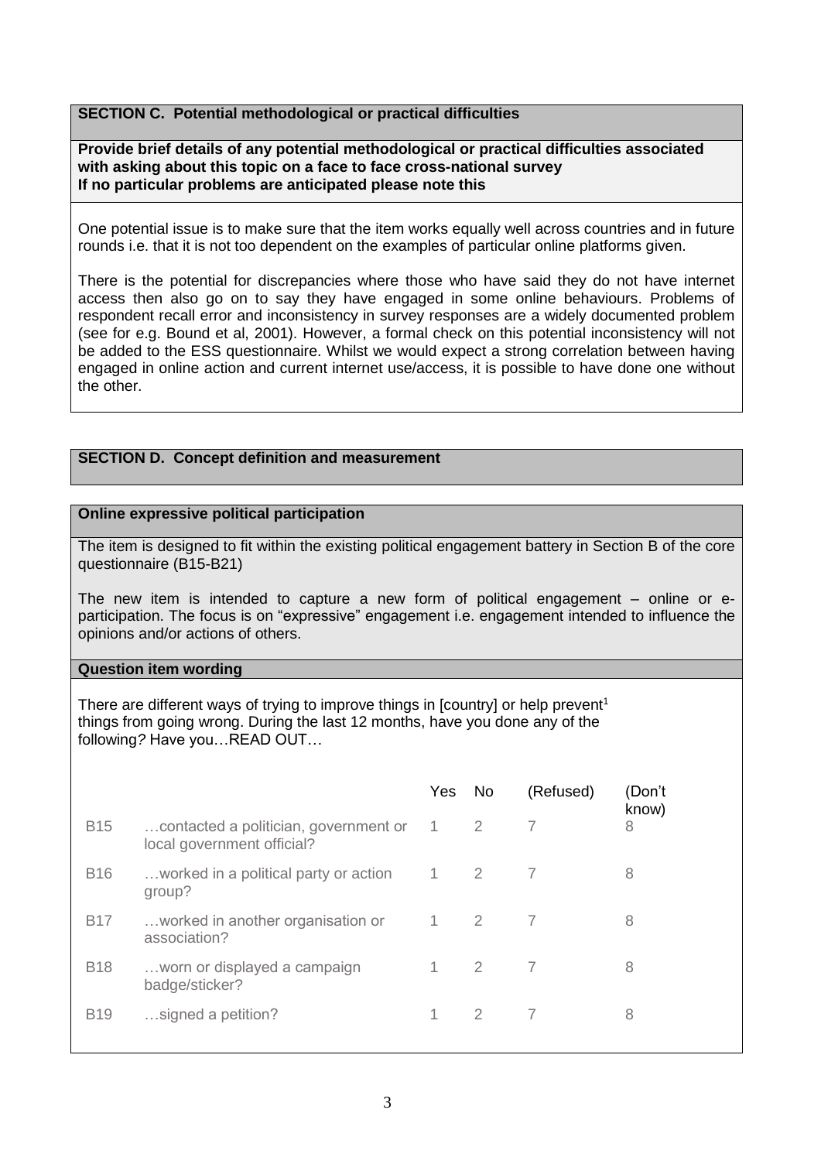## **SECTION C. Potential methodological or practical difficulties**

**Provide brief details of any potential methodological or practical difficulties associated with asking about this topic on a face to face cross-national survey If no particular problems are anticipated please note this**

One potential issue is to make sure that the item works equally well across countries and in future rounds i.e. that it is not too dependent on the examples of particular online platforms given.

There is the potential for discrepancies where those who have said they do not have internet access then also go on to say they have engaged in some online behaviours. Problems of respondent recall error and inconsistency in survey responses are a widely documented problem (see for e.g. Bound et al, 2001). However, a formal check on this potential inconsistency will not be added to the ESS questionnaire. Whilst we would expect a strong correlation between having engaged in online action and current internet use/access, it is possible to have done one without the other.

#### **SECTION D. Concept definition and measurement**

#### **Online expressive political participation**

The item is designed to fit within the existing political engagement battery in Section B of the core questionnaire (B15-B21)

The new item is intended to capture a new form of political engagement – online or eparticipation. The focus is on "expressive" engagement i.e. engagement intended to influence the opinions and/or actions of others.

#### **Question item wording**

There are different ways of trying to improve things in [country] or help prevent<sup>1</sup> things from going wrong. During the last 12 months, have you done any of the following*?* Have you…READ OUT…

|            |                                                                     | Yes.           | No.            | (Refused) | (Don't<br>know) |
|------------|---------------------------------------------------------------------|----------------|----------------|-----------|-----------------|
| <b>B15</b> | contacted a politician, government or<br>local government official? | $\overline{1}$ | -2             |           | 8               |
| <b>B16</b> | worked in a political party or action<br>group?                     | $\overline{1}$ | $\overline{2}$ |           | 8               |
| <b>B17</b> | worked in another organisation or<br>association?                   | 1              | -2             | 7         | 8               |
| <b>B18</b> | worn or displayed a campaign<br>badge/sticker?                      | 1              | $\overline{2}$ | 7         | 8               |
| <b>B19</b> | signed a petition?                                                  | 1              | 2              | 7         | 8               |